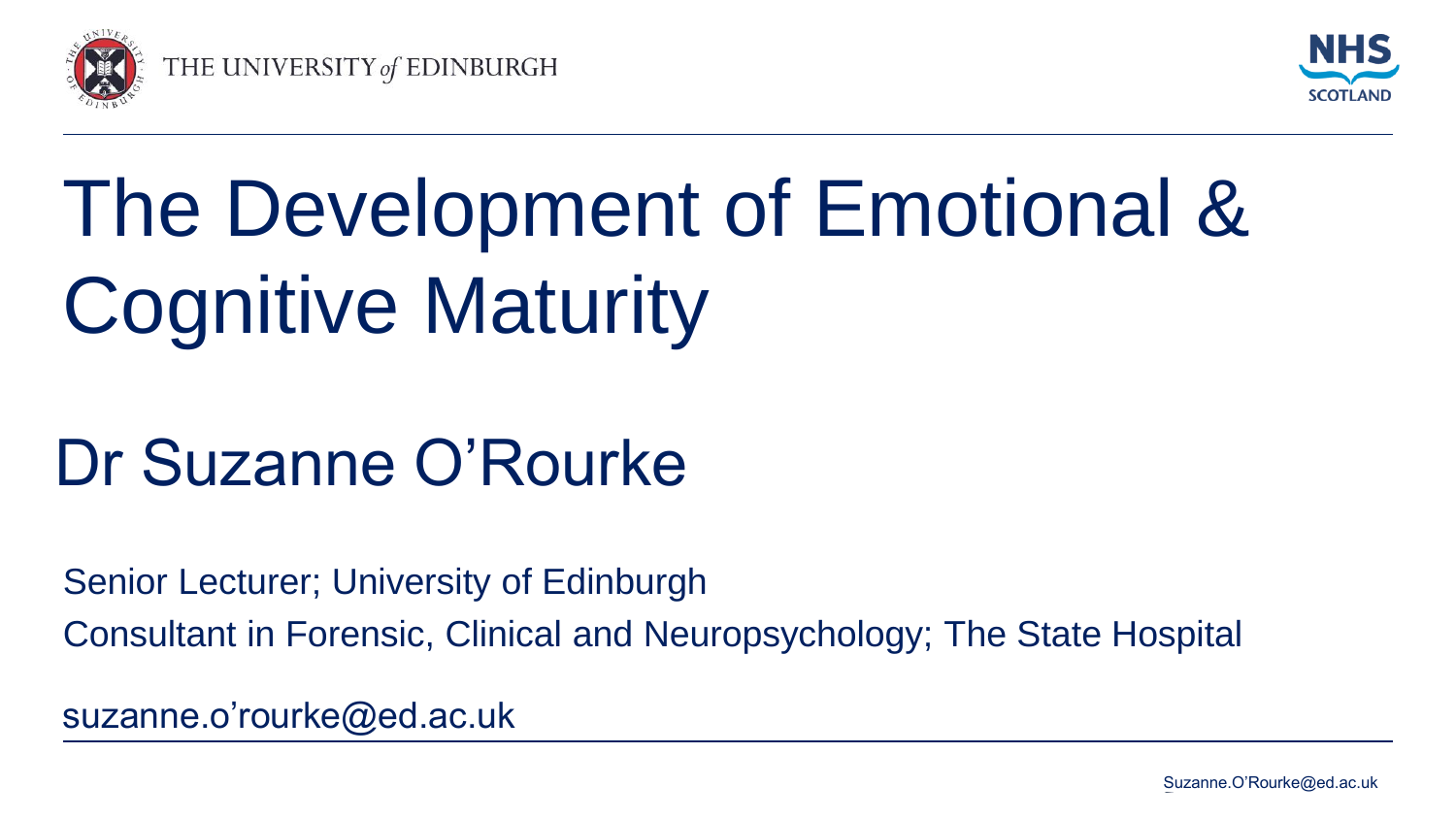



# The Development of Emotional & Cognitive Maturity

## Dr Suzanne O'Rourke

Senior Lecturer; University of Edinburgh Consultant in Forensic, Clinical and Neuropsychology; The State Hospital

suzanne.o'rourke@ed.ac.uk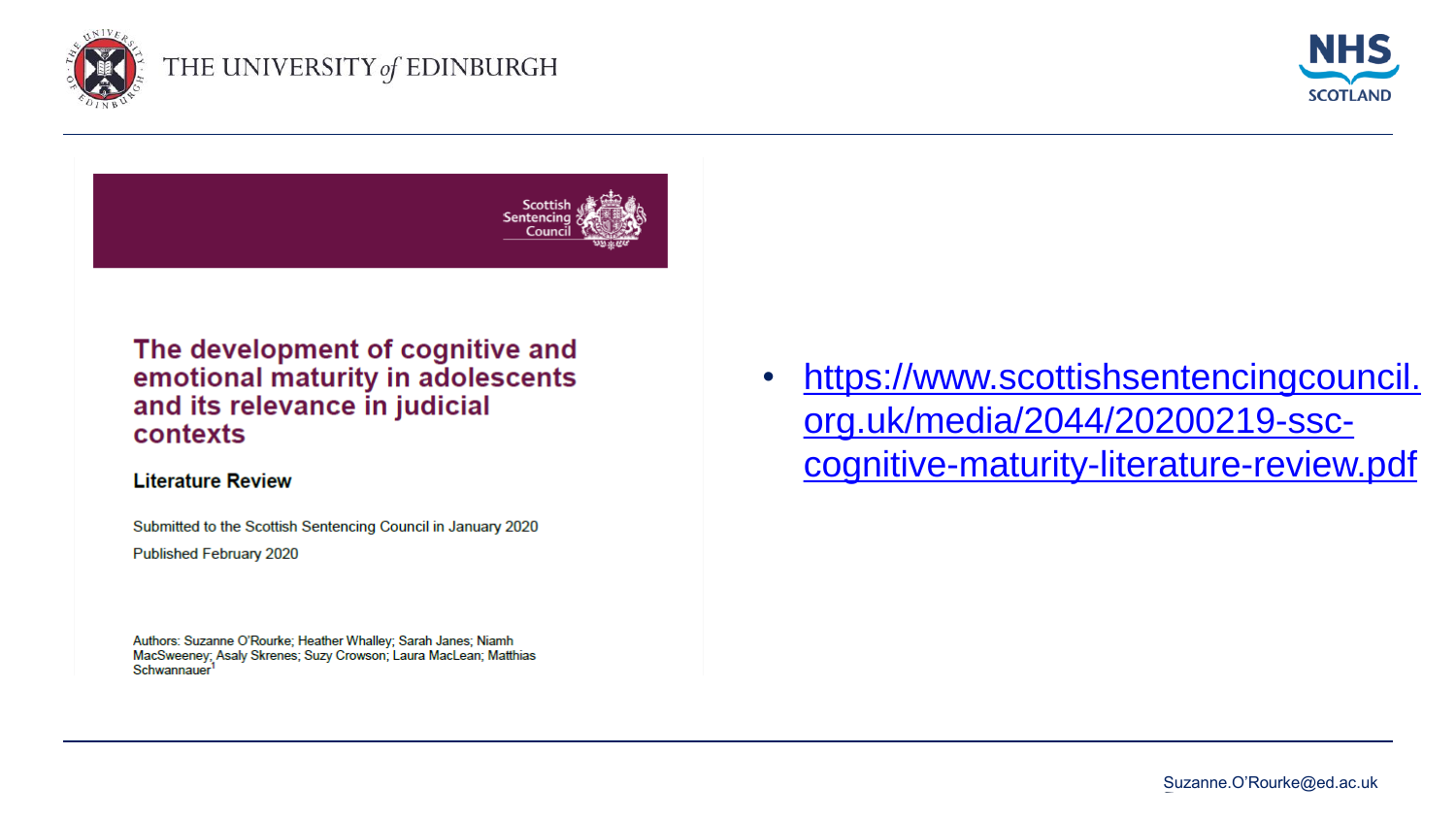





#### The development of cognitive and emotional maturity in adolescents and its relevance in judicial contexts

#### **Literature Review**

Submitted to the Scottish Sentencing Council in January 2020

Published February 2020

Authors: Suzanne O'Rourke; Heather Whalley; Sarah Janes; Niamh MacSweeney; Asaly Skrenes; Suzy Crowson; Laura MacLean; Matthias Schwannauer<sup>1</sup>

• https://www.scottishsentencingcouncil. org.uk/media/2044/20200219-ssc[cognitive-maturity-literature-review.pdf](https://www.scottishsentencingcouncil.org.uk/media/2044/20200219-ssc-cognitive-maturity-literature-review.pdf)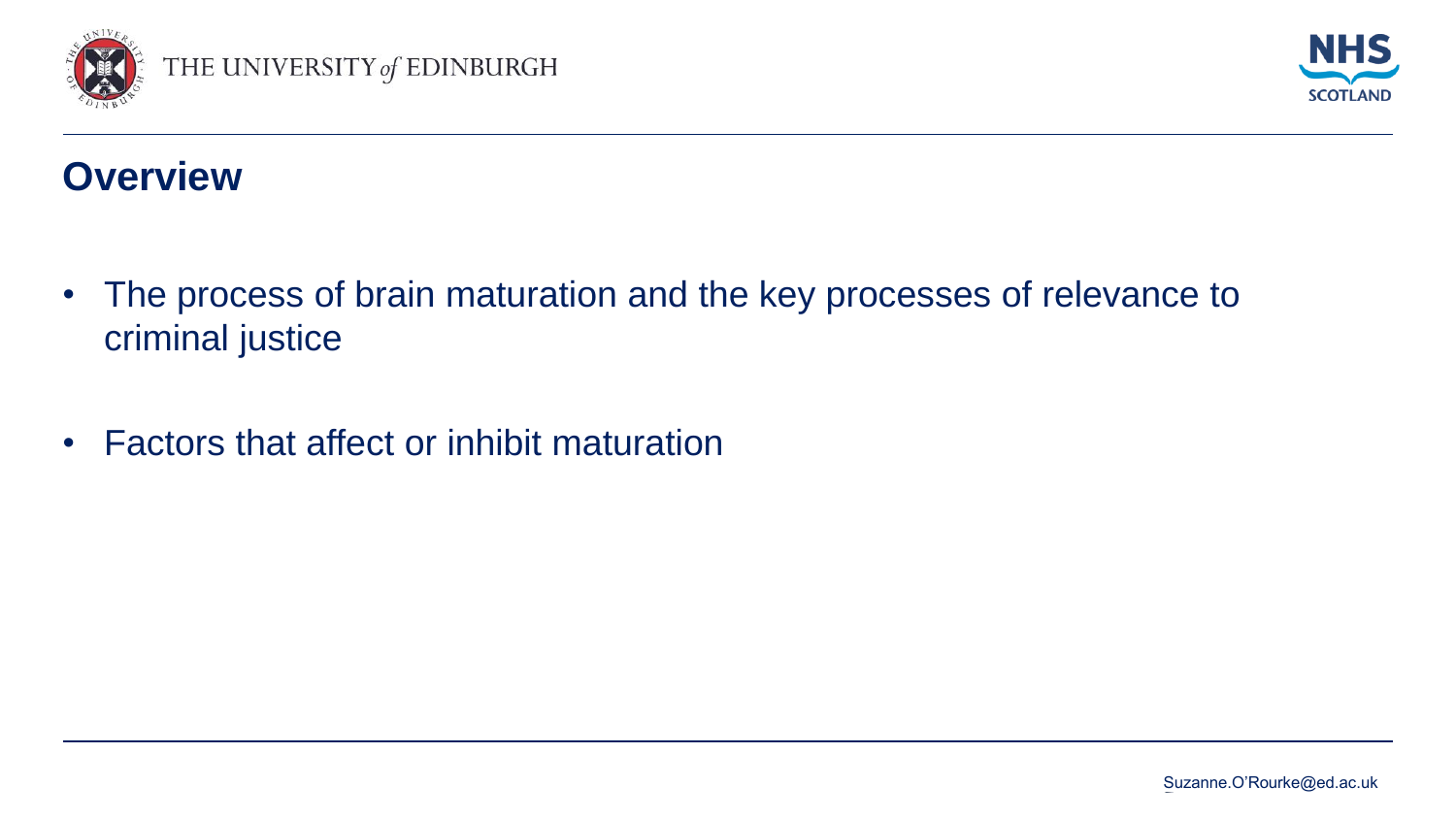



#### **Overview**

- The process of brain maturation and the key processes of relevance to criminal justice
- Factors that affect or inhibit maturation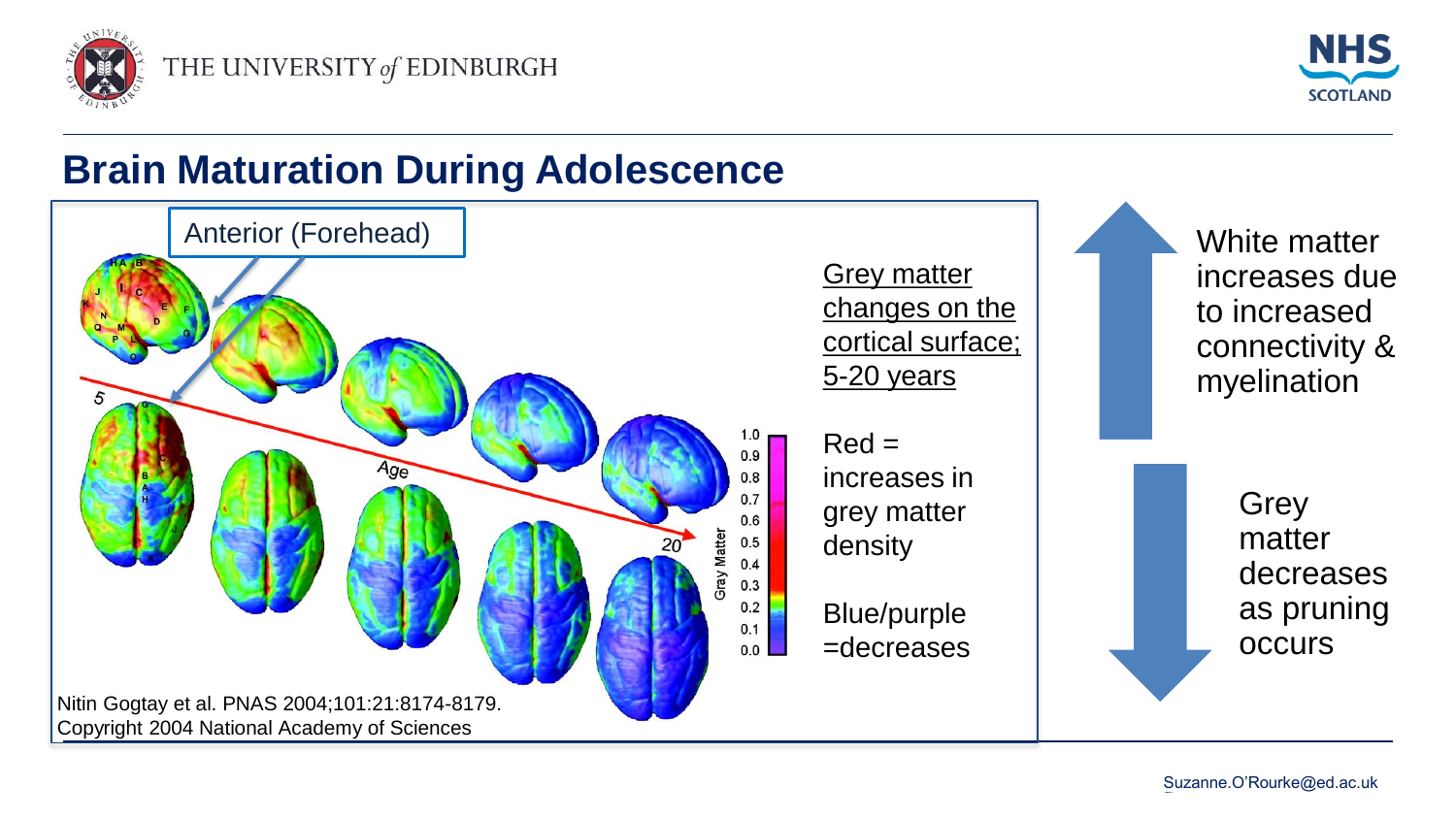



### **Brain Maturation During Adolescence**

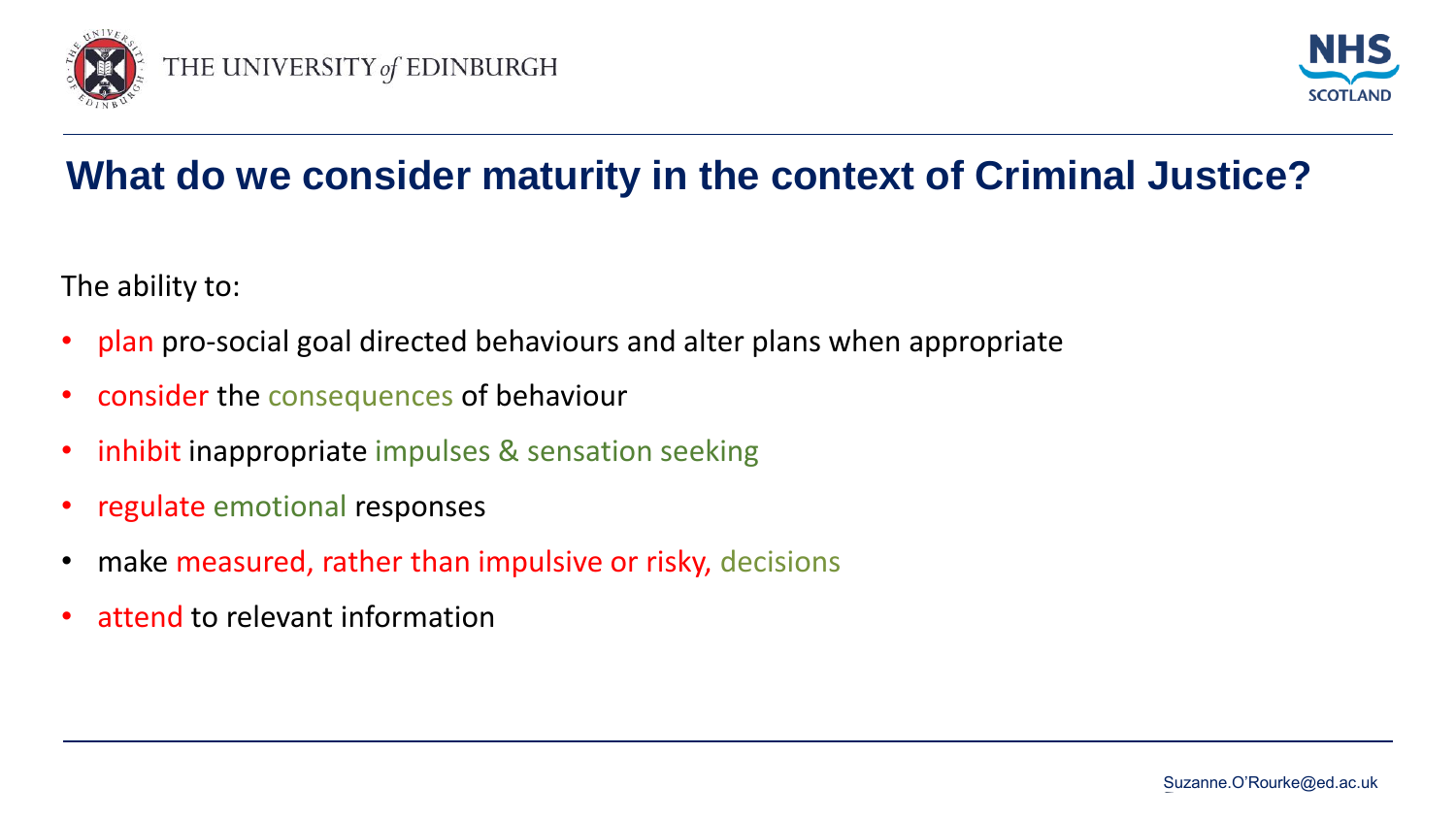



## **What do we consider maturity in the context of Criminal Justice?**

The ability to:

- plan pro-social goal directed behaviours and alter plans when appropriate
- consider the consequences of behaviour
- inhibit inappropriate impulses & sensation seeking
- regulate emotional responses
- make measured, rather than impulsive or risky, decisions
- attend to relevant information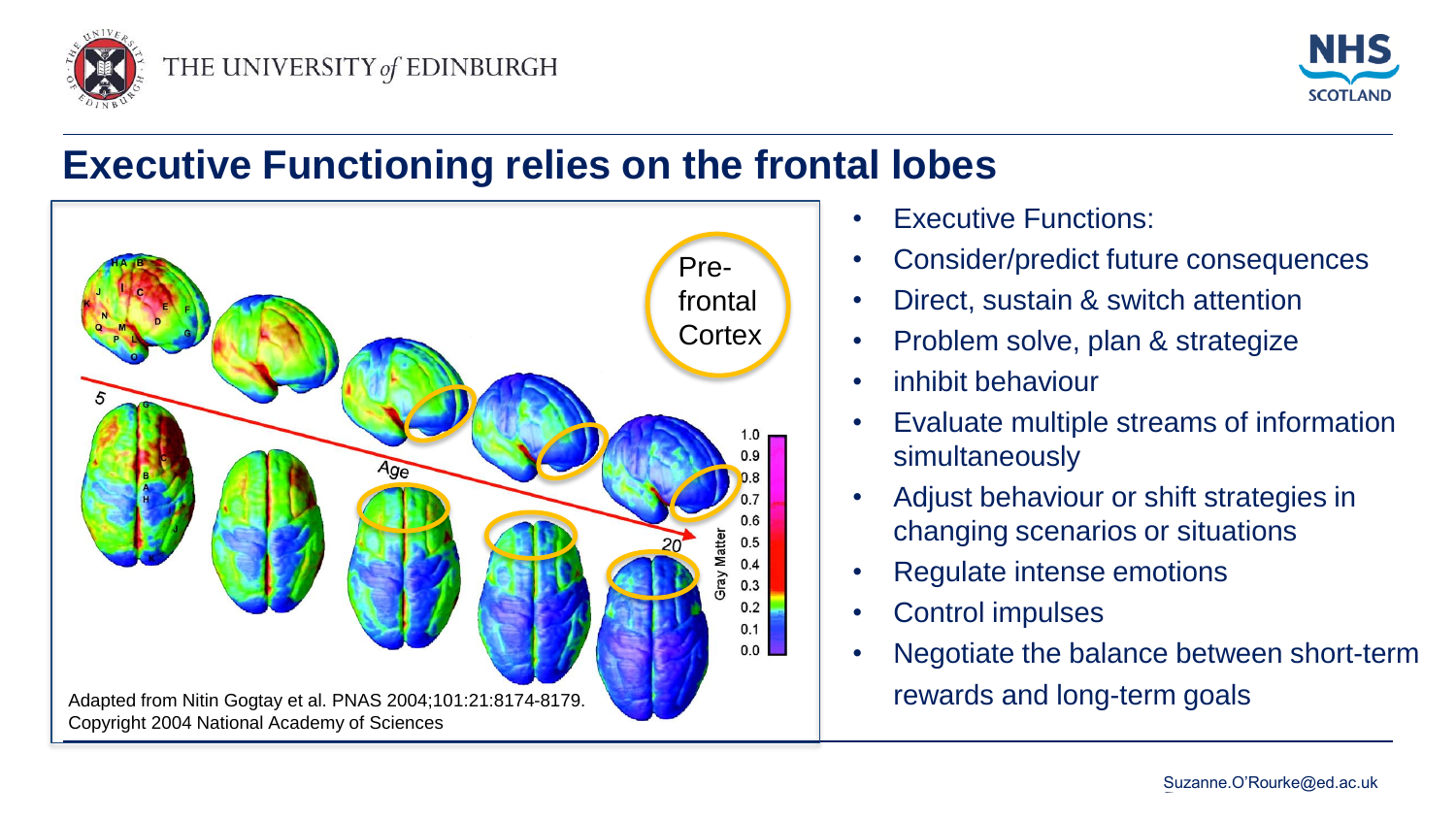



#### **Executive Functioning relies on the frontal lobes**



- **Executive Functions:**
- Consider/predict future consequences
- Direct, sustain & switch attention
- Problem solve, plan & strategize
- inhibit behaviour
- Evaluate multiple streams of information simultaneously
- Adjust behaviour or shift strategies in changing scenarios or situations
- Regulate intense emotions
- Control impulses
- Negotiate the balance between short-term rewards and long-term goals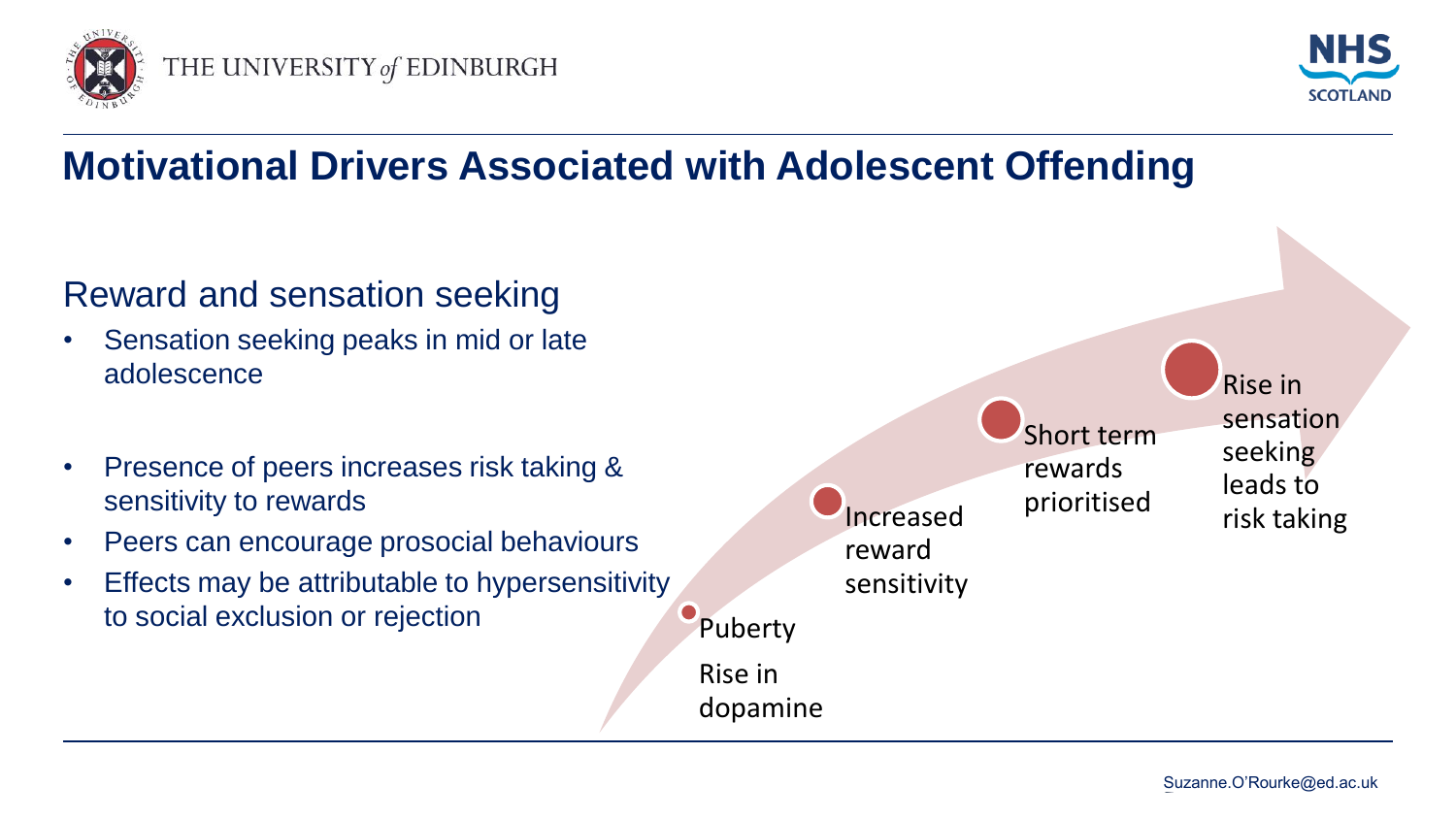



## **Motivational Drivers Associated with Adolescent Offending**

#### Reward and sensation seeking

- Sensation seeking peaks in mid or late adolescence
- Presence of peers increases risk taking & sensitivity to rewards
- Peers can encourage prosocial behaviours
- Effects may be attributable to hypersensitivity to social exclusion or rejection

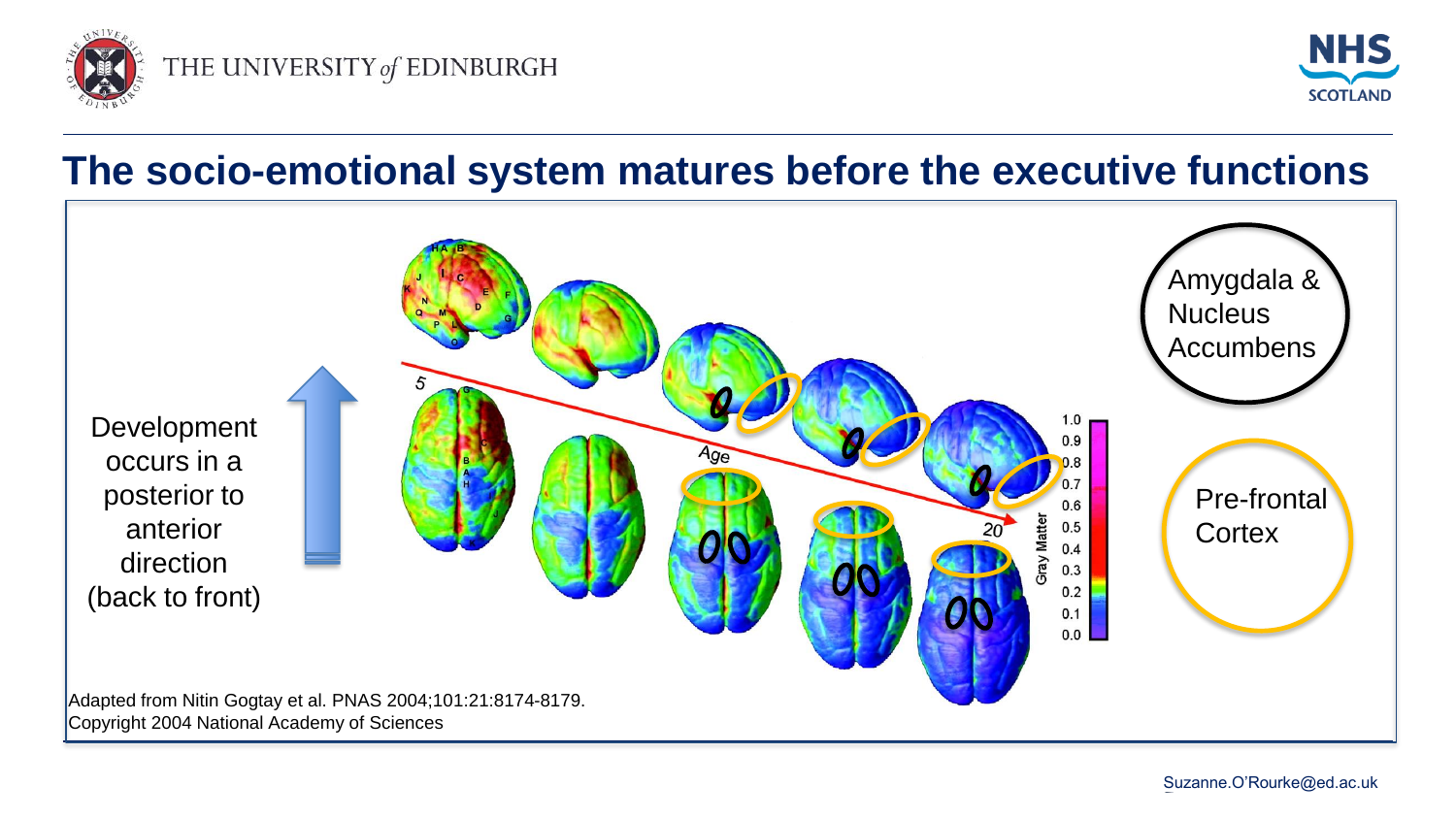



#### **The socio-emotional system matures before the executive functions**

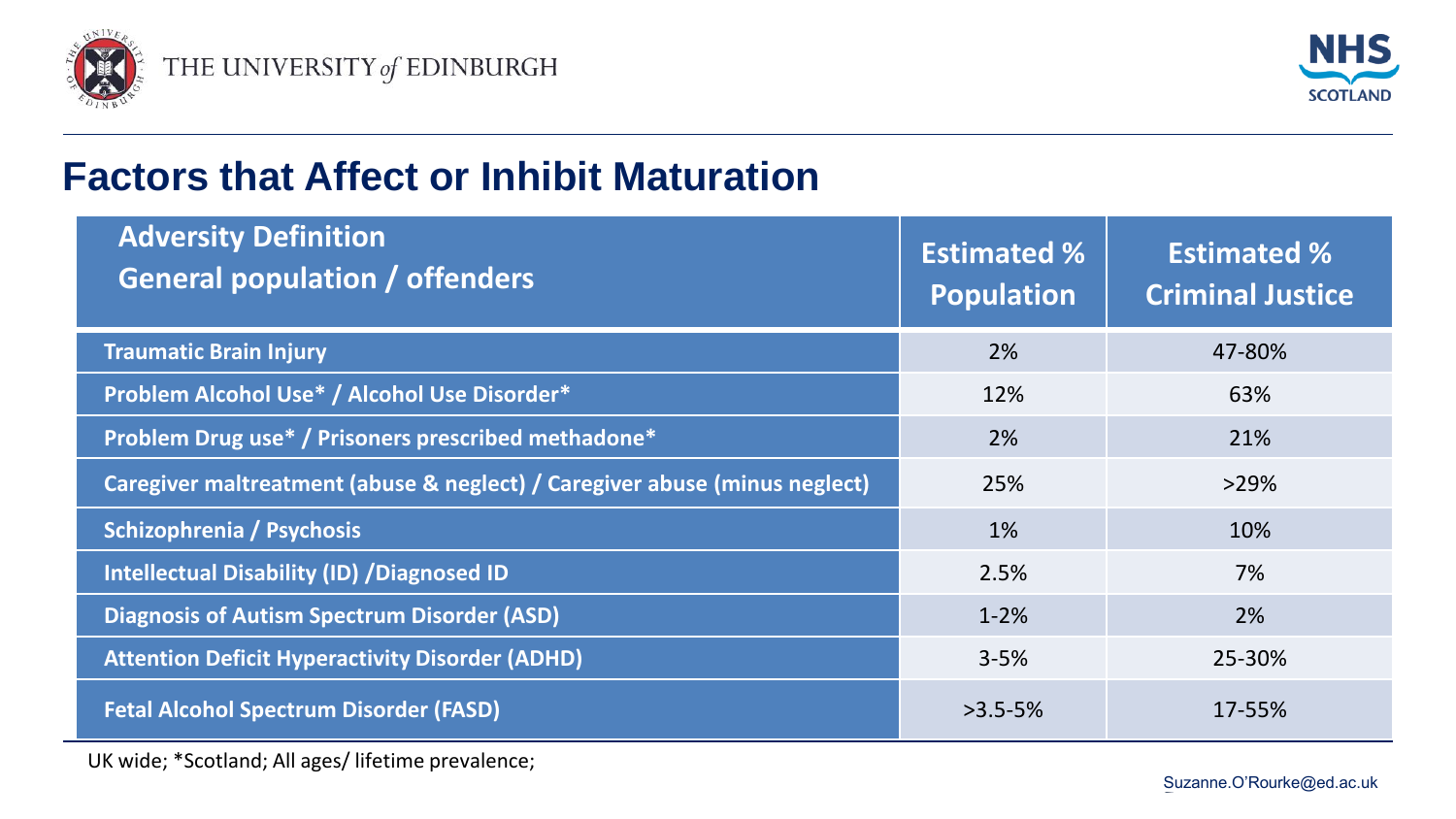



#### **Factors that Affect or Inhibit Maturation**

| <b>Adversity Definition</b><br><b>General population / offenders</b>       | <b>Estimated %</b><br><b>Population</b> | <b>Estimated %</b><br><b>Criminal Justice</b> |
|----------------------------------------------------------------------------|-----------------------------------------|-----------------------------------------------|
| <b>Traumatic Brain Injury</b>                                              | 2%                                      | 47-80%                                        |
| Problem Alcohol Use* / Alcohol Use Disorder*                               | 12%                                     | 63%                                           |
| Problem Drug use* / Prisoners prescribed methadone*                        | 2%                                      | 21%                                           |
| Caregiver maltreatment (abuse & neglect) / Caregiver abuse (minus neglect) | 25%                                     | $>29\%$                                       |
| Schizophrenia / Psychosis                                                  | 1%                                      | 10%                                           |
| <b>Intellectual Disability (ID) / Diagnosed ID</b>                         | 2.5%                                    | 7%                                            |
| <b>Diagnosis of Autism Spectrum Disorder (ASD)</b>                         | $1 - 2%$                                | 2%                                            |
| <b>Attention Deficit Hyperactivity Disorder (ADHD)</b>                     | $3 - 5%$                                | 25-30%                                        |
| <b>Fetal Alcohol Spectrum Disorder (FASD)</b>                              | $>3.5 - 5%$                             | 17-55%                                        |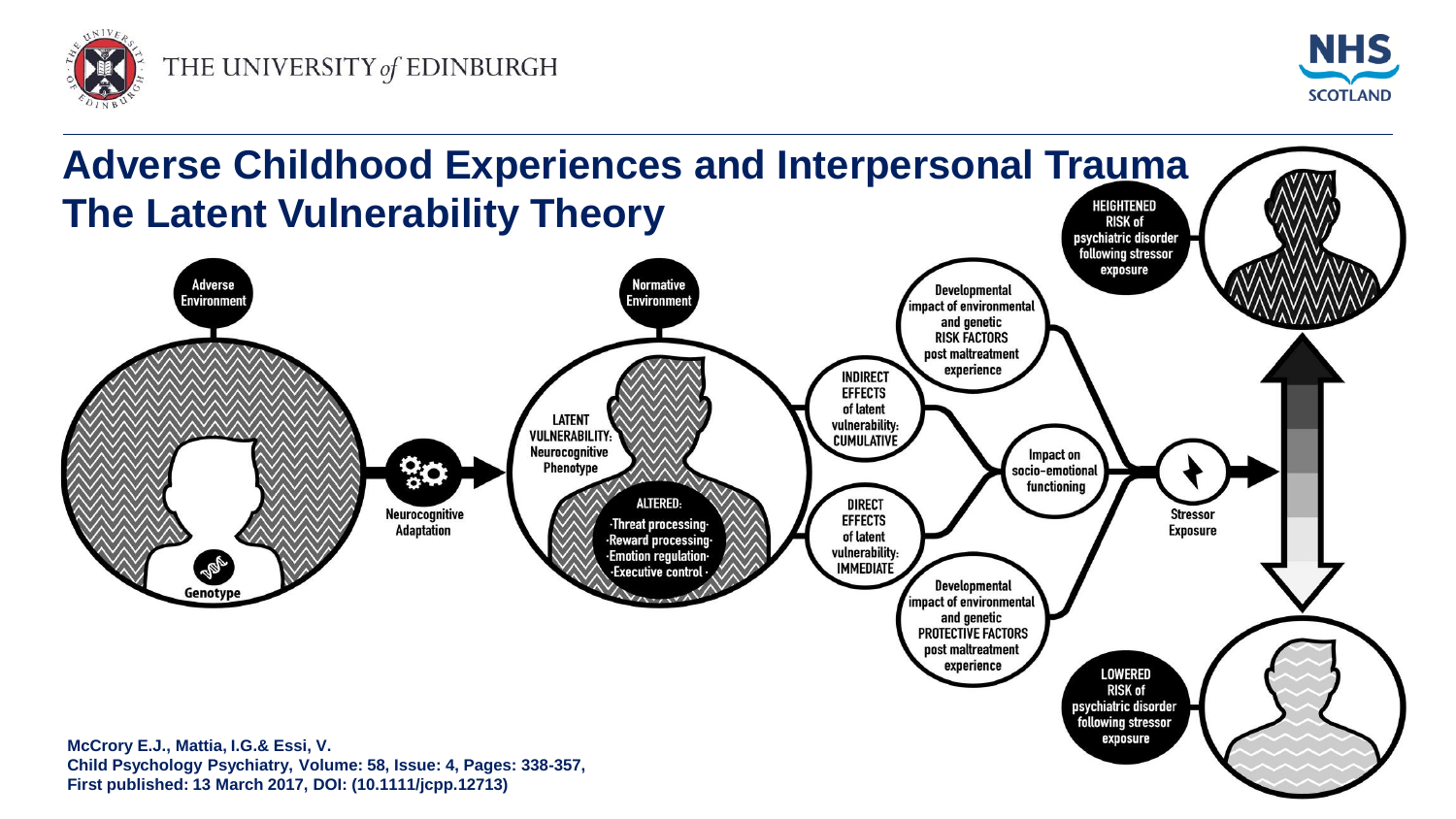



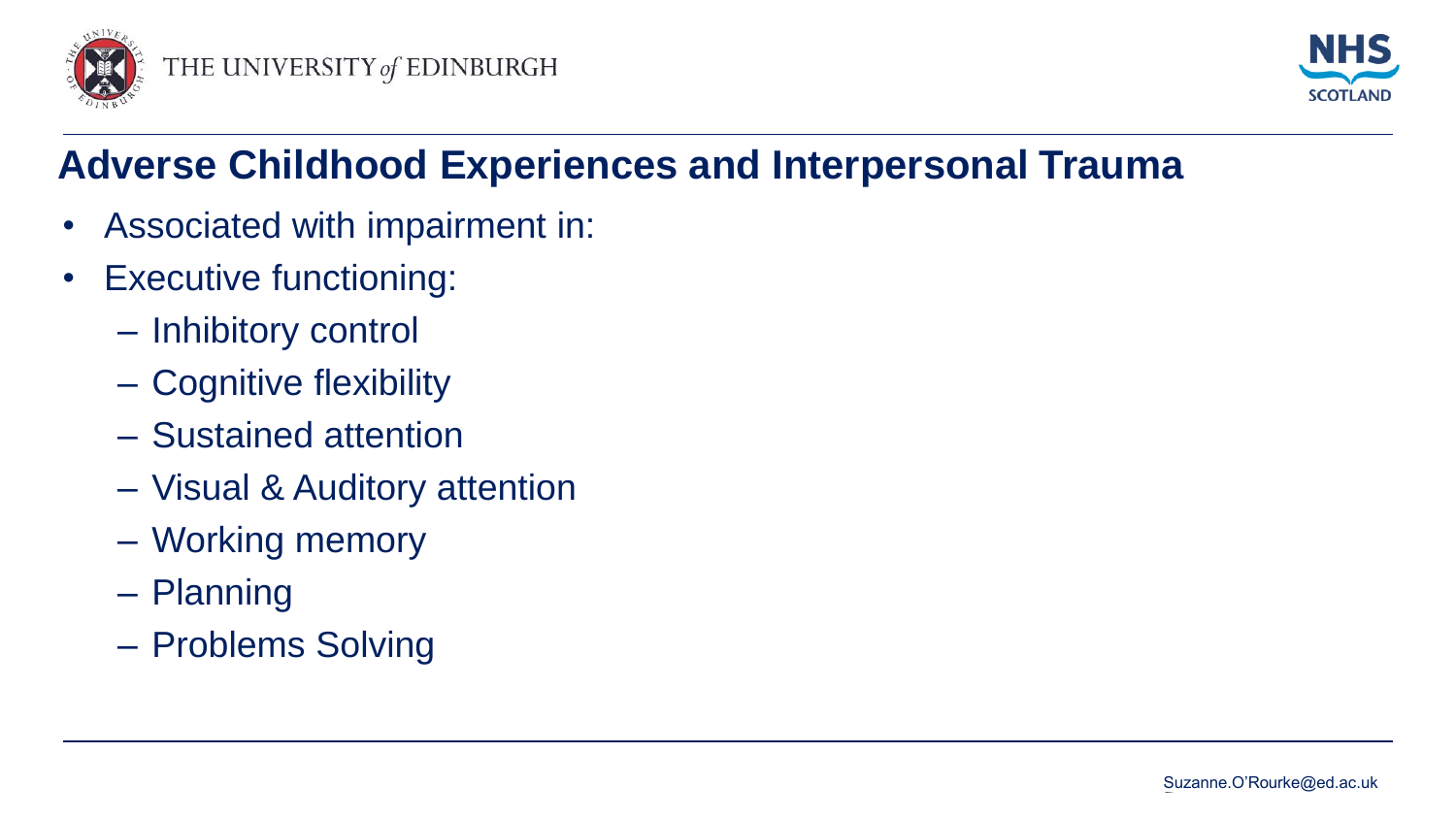



## **Adverse Childhood Experiences and Interpersonal Trauma**

- Associated with impairment in:
- Executive functioning:
	- Inhibitory control
	- Cognitive flexibility
	- Sustained attention
	- Visual & Auditory attention
	- Working memory
	- Planning
	- Problems Solving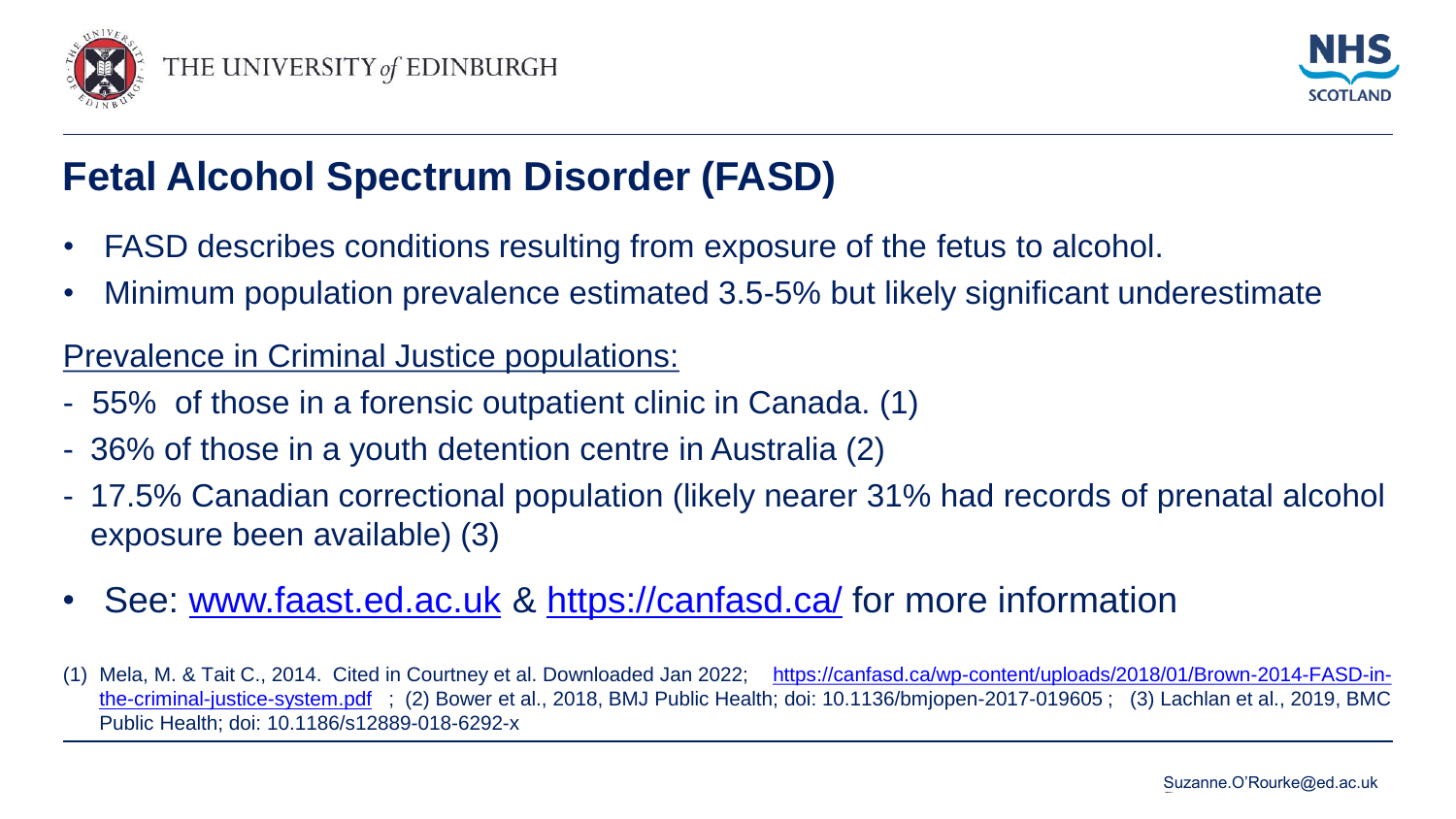



### **Fetal Alcohol Spectrum Disorder (FASD)**

- FASD describes conditions resulting from exposure of the fetus to alcohol.
- Minimum population prevalence estimated 3.5-5% but likely significant underestimate

#### Prevalence in Criminal Justice populations:

- 55% of those in a forensic outpatient clinic in Canada. (1)
- 36% of those in a youth detention centre in Australia (2)
- 17.5% Canadian correctional population (likely nearer 31% had records of prenatal alcohol exposure been available) (3)
- See: [www.faast.ed.ac.uk](http://www.faast.ed.ac.uk/) &<https://canfasd.ca/> for more information
- (1) [Mela, M. & Tait C., 2014. Cited in Courtney et al. Downloaded Jan 2022; https://canfasd.ca/wp-content/uploads/2018/01/Brown-2014-FASD-in](https://canfasd.ca/wp-content/uploads/2018/01/Brown-2014-FASD-in-the-criminal-justice-system.pdf)the-criminal-justice-system.pdf ; (2) Bower et al., 2018, BMJ Public Health; doi: 10.1136/bmjopen-2017-019605 ; (3) Lachlan et al., 2019, BMC Public Health; doi: 10.1186/s12889-018-6292-x